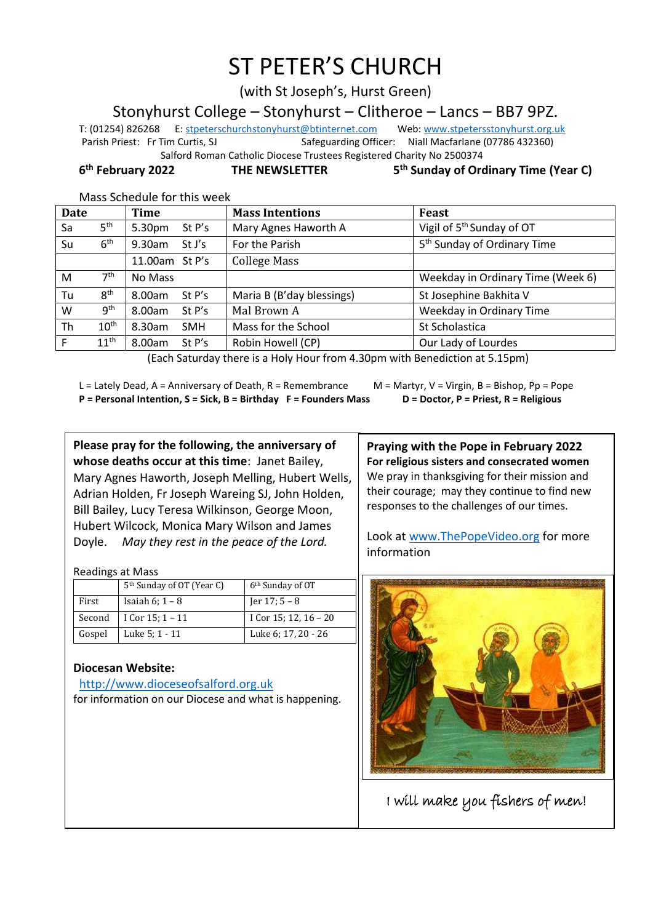# ST PETER'S CHURCH

(with St Joseph's, Hurst Green)

Stonyhurst College – Stonyhurst – Clitheroe – Lancs – BB7 9PZ.

T: (01254) 826268 E[: stpeterschurchstonyhurst@btinternet.com](mailto:stpeterschurchstonyhurst@btinternet.com) Web[: www.stpetersstonyhurst.org.uk](http://www.stpetersstonyhurst.org.uk/) Parish Priest: Fr Tim Curtis, SJ Safeguarding Officer: Niall Macfarlane (07786 432360) Salford Roman Catholic Diocese Trustees Registered Charity No 2500374

6<sup>th</sup> February 2022

**THE NEWSLETTER** 

**th Sunday of Ordinary Time (Year C)**

Mass Schedule for this week

| Date |                  | <b>Time</b>          | <b>Mass Intentions</b>    | Feast                                   |
|------|------------------|----------------------|---------------------------|-----------------------------------------|
| Sa   | 5 <sup>th</sup>  | 5.30pm<br>St P's     | Mary Agnes Haworth A      | Vigil of 5 <sup>th</sup> Sunday of OT   |
| Su   | 6 <sup>th</sup>  | $9.30$ am<br>St J's  | For the Parish            | 5 <sup>th</sup> Sunday of Ordinary Time |
|      |                  | 11.00am St P's       | <b>College Mass</b>       |                                         |
| M    | 7 <sup>th</sup>  | No Mass              |                           | Weekday in Ordinary Time (Week 6)       |
| Tu   | 8 <sup>th</sup>  | 8.00am<br>St P's     | Maria B (B'day blessings) | St Josephine Bakhita V                  |
| W    | 9 <sup>th</sup>  | 8.00am<br>St P's     | Mal Brown A               | Weekday in Ordinary Time                |
| Th   | 10 <sup>th</sup> | 8.30am<br><b>SMH</b> | Mass for the School       | St Scholastica                          |
| F    | 11 <sup>th</sup> | 8.00am<br>St P's     | Robin Howell (CP)         | Our Lady of Lourdes                     |

(Each Saturday there is a Holy Hour from 4.30pm with Benediction at 5.15pm)

L = Lately Dead, A = Anniversary of Death, R = Remembrance M = Martyr, V = Virgin, B = Bishop, Pp = Pope **P = Personal Intention, S = Sick, B = Birthday F = Founders Mass D = Doctor, P = Priest, R = Religious**

**Please pray for the following, the anniversary of whose deaths occur at this time**: Janet Bailey, Mary Agnes Haworth, Joseph Melling, Hubert Wells, Adrian Holden, Fr Joseph Wareing SJ, John Holden, Bill Bailey, Lucy Teresa Wilkinson, George Moon, Hubert Wilcock, Monica Mary Wilson and James Doyle. *May they rest in the peace of the Lord.*

Readings at Mass

|        | 5 <sup>th</sup> Sunday of OT (Year C) | 6 <sup>th</sup> Sunday of OT |
|--------|---------------------------------------|------------------------------|
| First  | Isaiah $6$ ; $1 - 8$                  | Jer $17:5-8$                 |
| Second | I Cor $15:1 - 11$                     | I Cor 15; 12, $16 - 20$      |
| Gospel | Luke 5; 1 - 11                        | Luke 6: 17, 20 - 26          |

## **Diocesan Website:**

http://www.dioceseofsalford.org.uk for information on our Diocese and what is happening.

**Praying with the Pope in February 2022 For religious sisters and consecrated women** We pray in thanksgiving for their mission and their courage; may they continue to find new responses to the challenges of our times.

Look at www.ThePopeVideo.org for more information



I will make you fishers of men!

l